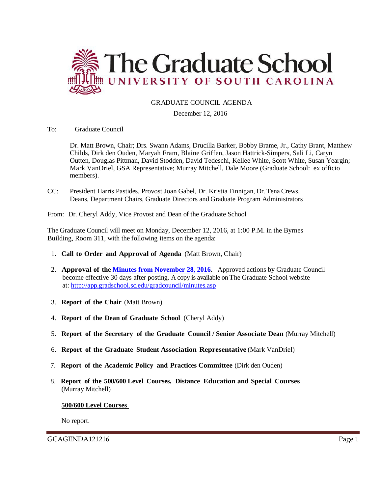

# GRADUATE COUNCIL AGENDA

#### December 12, 2016

To: Graduate Council

Dr. Matt Brown, Chair; Drs. Swann Adams, Drucilla Barker, Bobby Brame, Jr., Cathy Brant, Matthew Childs, Dirk den Ouden, Maryah Fram, Blaine Griffen, Jason Hattrick-Simpers, Sali Li, Caryn Outten, Douglas Pittman, David Stodden, David Tedeschi, Kellee White, Scott White, Susan Yeargin; Mark VanDriel, GSA Representative; Murray Mitchell, Dale Moore (Graduate School: ex officio members).

CC: President Harris Pastides, Provost Joan Gabel, Dr. Kristia Finnigan, Dr. Tena Crews, Deans, Department Chairs, Graduate Directors and Graduate Program Administrators

From: Dr. Cheryl Addy, Vice Provost and Dean of the Graduate School

The Graduate Council will meet on Monday, December 12, 2016, at 1:00 P.M. in the Byrnes Building, Room 311, with the following items on the agenda:

- 1. **Call to Order and Approval of Agenda** (Matt Brown, Chair)
- 2. **Approval of the [Minutes from November 28, 2016.](http://gradschool.sc.edu/facstaff/gradcouncil/2016/GCMINUTES%2011.28.16%20MM.pdf)** Approved actions by Graduate Council become effective 30 days after posting. A copy is available on The Graduate School website at:<http://app.gradschool.sc.edu/gradcouncil/minutes.asp>
- 3. **Report of the Chair** (Matt Brown)
- 4. **Report of the Dean of Graduate School** (Cheryl Addy)
- 5. **Report of the Secretary of the Graduate Council / Senior Associate Dean** (Murray Mitchell)
- 6. **Report of the Graduate Student Association Representative** (Mark VanDriel)
- 7. **Report of the Academic Policy and Practices Committee** (Dirk den Ouden)
- 8. **Report of the 500/600 Level Courses, Distance Education and Special Courses** (Murray Mitchell)

#### **500/600 Level Courses**

No report.

GCAGENDA121216 Page 1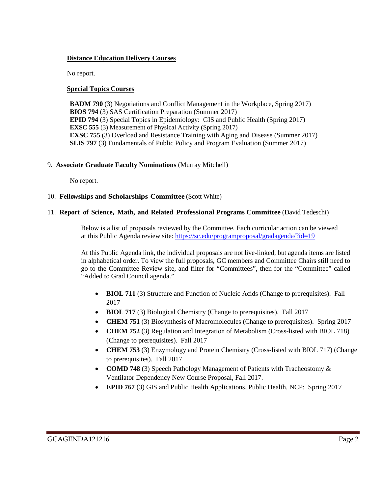## **Distance Education Delivery Courses**

No report.

## **Special Topics Courses**

**BADM 790** (3) Negotiations and Conflict Management in the Workplace, Spring 2017) **BIOS 794** (3) SAS Certification Preparation (Summer 2017) **EPID 794** (3) Special Topics in Epidemiology: GIS and Public Health (Spring 2017) **EXSC 555** (3) Measurement of Physical Activity (Spring 2017) **EXSC 755** (3) Overload and Resistance Training with Aging and Disease (Summer 2017) **SLIS 797** (3) Fundamentals of Public Policy and Program Evaluation (Summer 2017)

#### 9. **Associate Graduate Faculty Nominations** (Murray Mitchell)

No report.

#### 10. **Fellowships and Scholarships Committee** (Scott White)

#### 11. **Report of Science, Math, and Related Professional Programs Committee** (David Tedeschi)

Below is a list of proposals reviewed by the Committee. Each curricular action can be viewed at this Public Agenda review site[: https://sc.edu/programproposal/gradagenda/?id=19](https://sc.edu/programproposal/gradagenda/?id=19)

At this Public Agenda link, the individual proposals are not live-linked, but agenda items are listed in alphabetical order. To view the full proposals, GC members and Committee Chairs still need to go to the Committee Review site, and filter for "Committees", then for the "Committee" called "Added to Grad Council agenda."

- **BIOL 711** (3) Structure and Function of Nucleic Acids (Change to prerequisites). Fall 2017
- **BIOL 717** (3) Biological Chemistry (Change to prerequisites). Fall 2017
- **CHEM 751** (3) Biosynthesis of Macromolecules (Change to prerequisites). Spring 2017
- **CHEM 752** (3) Regulation and Integration of Metabolism (Cross-listed with BIOL 718) (Change to prerequisites). Fall 2017
- **CHEM 753** (3) Enzymology and Protein Chemistry (Cross-listed with BIOL 717) (Change to prerequisites). Fall 2017
- **COMD 748** (3) Speech Pathology Management of Patients with Tracheostomy  $\&$ Ventilator Dependency New Course Proposal, Fall 2017.
- **EPID 767** (3) GIS and Public Health Applications, Public Health, NCP: Spring 2017